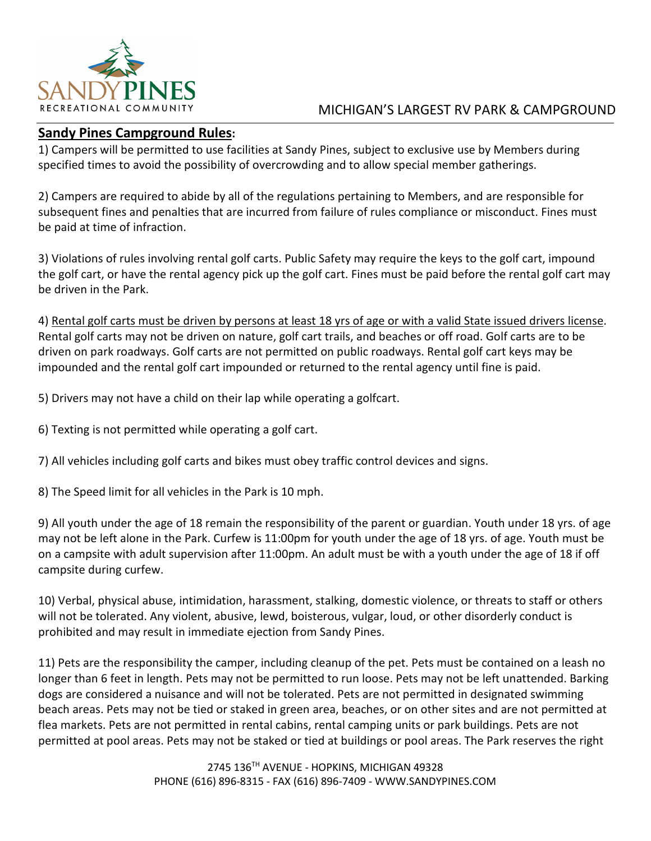

## MICHIGAN'S LARGEST RV PARK & CAMPGROUND

## **Sandy Pines Campground Rules:**

1) Campers will be permitted to use facilities at Sandy Pines, subject to exclusive use by Members during specified times to avoid the possibility of overcrowding and to allow special member gatherings.

2) Campers are required to abide by all of the regulations pertaining to Members, and are responsible for subsequent fines and penalties that are incurred from failure of rules compliance or misconduct. Fines must be paid at time of infraction.

3) Violations of rules involving rental golf carts. Public Safety may require the keys to the golf cart, impound the golf cart, or have the rental agency pick up the golf cart. Fines must be paid before the rental golf cart may be driven in the Park.

4) Rental golf carts must be driven by persons at least 18 yrs of age or with a valid State issued drivers license. Rental golf carts may not be driven on nature, golf cart trails, and beaches or off road. Golf carts are to be driven on park roadways. Golf carts are not permitted on public roadways. Rental golf cart keys may be impounded and the rental golf cart impounded or returned to the rental agency until fine is paid.

5) Drivers may not have a child on their lap while operating a golfcart.

6) Texting is not permitted while operating a golf cart.

7) All vehicles including golf carts and bikes must obey traffic control devices and signs.

8) The Speed limit for all vehicles in the Park is 10 mph.

9) All youth under the age of 18 remain the responsibility of the parent or guardian. Youth under 18 yrs. of age may not be left alone in the Park. Curfew is 11:00pm for youth under the age of 18 yrs. of age. Youth must be on a campsite with adult supervision after 11:00pm. An adult must be with a youth under the age of 18 if off campsite during curfew.

10) Verbal, physical abuse, intimidation, harassment, stalking, domestic violence, or threats to staff or others will not be tolerated. Any violent, abusive, lewd, boisterous, vulgar, loud, or other disorderly conduct is prohibited and may result in immediate ejection from Sandy Pines.

11) Pets are the responsibility the camper, including cleanup of the pet. Pets must be contained on a leash no longer than 6 feet in length. Pets may not be permitted to run loose. Pets may not be left unattended. Barking dogs are considered a nuisance and will not be tolerated. Pets are not permitted in designated swimming beach areas. Pets may not be tied or staked in green area, beaches, or on other sites and are not permitted at flea markets. Pets are not permitted in rental cabins, rental camping units or park buildings. Pets are not permitted at pool areas. Pets may not be staked or tied at buildings or pool areas. The Park reserves the right

> 2745 136TH AVENUE - HOPKINS, MICHIGAN 49328 PHONE (616) 896-8315 - FAX (616) 896-7409 - WWW.SANDYPINES.COM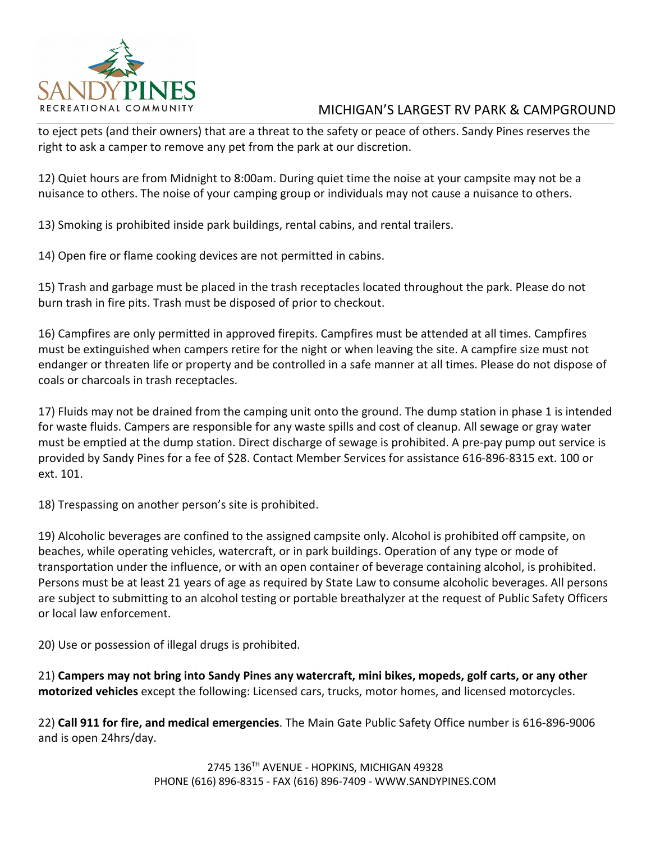

## MICHIGAN'S LARGEST RV PARK & CAMPGROUND

to eject pets (and their owners) that are a threat to the safety or peace of others. Sandy Pines reserves the right to ask a camper to remove any pet from the park at our discretion.

12) Quiet hours are from Midnight to 8:00am. During quiet time the noise at your campsite may not be a nuisance to others. The noise of your camping group or individuals may not cause a nuisance to others.

13) Smoking is prohibited inside park buildings, rental cabins, and rental trailers.

14) Open fire or flame cooking devices are not permitted in cabins.

15) Trash and garbage must be placed in the trash receptacles located throughout the park. Please do not burn trash in fire pits. Trash must be disposed of prior to checkout.

16) Campfires are only permitted in approved firepits. Campfires must be attended at all times. Campfires must be extinguished when campers retire for the night or when leaving the site. A campfire size must not endanger or threaten life or property and be controlled in a safe manner at all times. Please do not dispose of coals or charcoals in trash receptacles.

17) Fluids may not be drained from the camping unit onto the ground. The dump station in phase 1 is intended for waste fluids. Campers are responsible for any waste spills and cost of cleanup. All sewage or gray water must be emptied at the dump station. Direct discharge of sewage is prohibited. A pre-pay pump out service is provided by Sandy Pines for a fee of \$28. Contact Member Services for assistance 616-896-8315 ext. 100 or ext. 101.

18) Trespassing on another person's site is prohibited.

19) Alcoholic beverages are confined to the assigned campsite only. Alcohol is prohibited off campsite, on beaches, while operating vehicles, watercraft, or in park buildings. Operation of any type or mode of transportation under the influence, or with an open container of beverage containing alcohol, is prohibited. Persons must be at least 21 years of age as required by State Law to consume alcoholic beverages. All persons are subject to submitting to an alcohol testing or portable breathalyzer at the request of Public Safety Officers or local law enforcement.

20) Use or possession of illegal drugs is prohibited.

21) **Campers may not bring into Sandy Pines any watercraft, mini bikes, mopeds, golf carts, or any other motorized vehicles** except the following: Licensed cars, trucks, motor homes, and licensed motorcycles.

22) **Call 911 for fire, and medical emergencies**. The Main Gate Public Safety Office number is 616-896-9006 and is open 24hrs/day.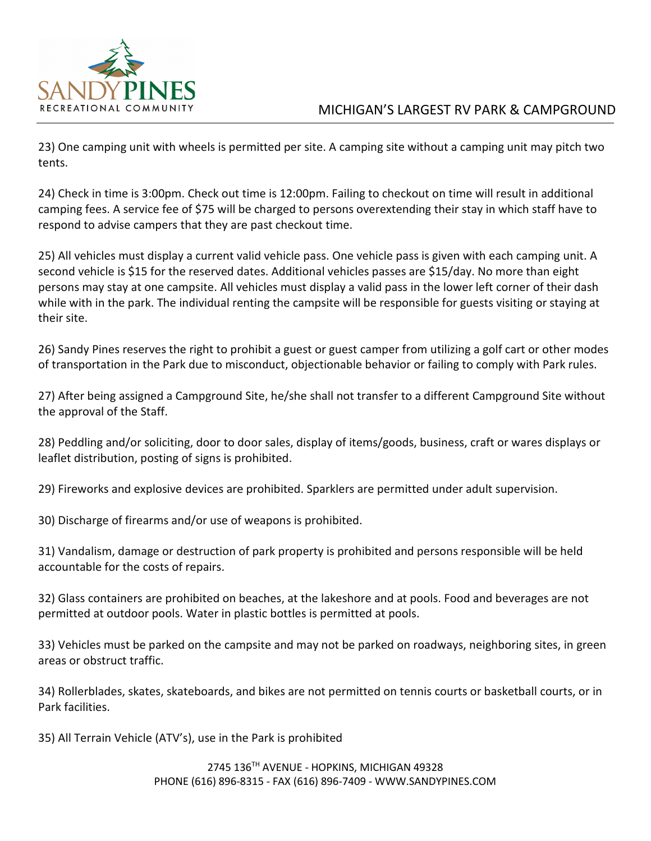

## MICHIGAN'S LARGEST RV PARK & CAMPGROUND

23) One camping unit with wheels is permitted per site. A camping site without a camping unit may pitch two tents.

24) Check in time is 3:00pm. Check out time is 12:00pm. Failing to checkout on time will result in additional camping fees. A service fee of \$75 will be charged to persons overextending their stay in which staff have to respond to advise campers that they are past checkout time.

25) All vehicles must display a current valid vehicle pass. One vehicle pass is given with each camping unit. A second vehicle is \$15 for the reserved dates. Additional vehicles passes are \$15/day. No more than eight persons may stay at one campsite. All vehicles must display a valid pass in the lower left corner of their dash while with in the park. The individual renting the campsite will be responsible for guests visiting or staying at their site.

26) Sandy Pines reserves the right to prohibit a guest or guest camper from utilizing a golf cart or other modes of transportation in the Park due to misconduct, objectionable behavior or failing to comply with Park rules.

27) After being assigned a Campground Site, he/she shall not transfer to a different Campground Site without the approval of the Staff.

28) Peddling and/or soliciting, door to door sales, display of items/goods, business, craft or wares displays or leaflet distribution, posting of signs is prohibited.

29) Fireworks and explosive devices are prohibited. Sparklers are permitted under adult supervision.

30) Discharge of firearms and/or use of weapons is prohibited.

31) Vandalism, damage or destruction of park property is prohibited and persons responsible will be held accountable for the costs of repairs.

32) Glass containers are prohibited on beaches, at the lakeshore and at pools. Food and beverages are not permitted at outdoor pools. Water in plastic bottles is permitted at pools.

33) Vehicles must be parked on the campsite and may not be parked on roadways, neighboring sites, in green areas or obstruct traffic.

34) Rollerblades, skates, skateboards, and bikes are not permitted on tennis courts or basketball courts, or in Park facilities.

35) All Terrain Vehicle (ATV's), use in the Park is prohibited

2745 136TH AVENUE - HOPKINS, MICHIGAN 49328 PHONE (616) 896-8315 - FAX (616) 896-7409 - WWW.SANDYPINES.COM